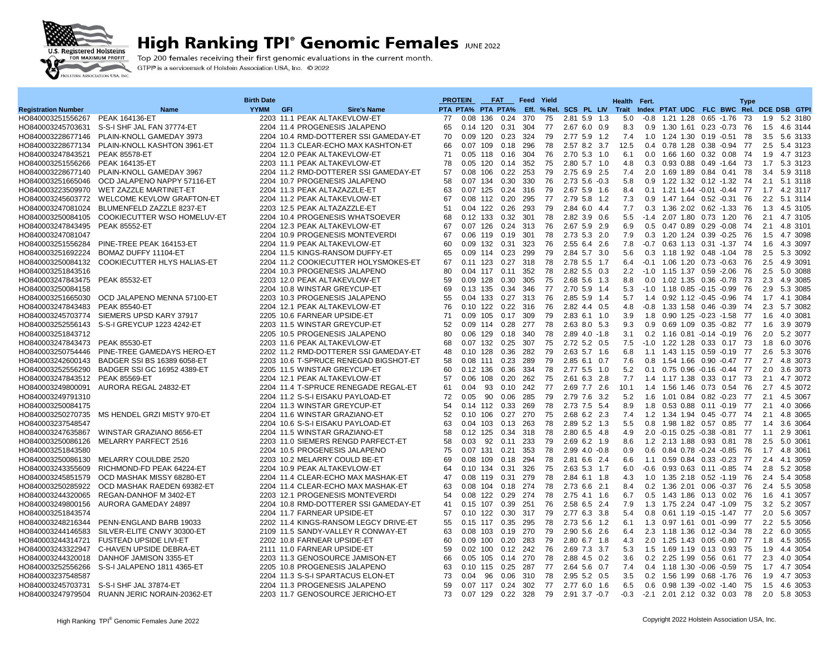

## **High Ranking TPI° Genomic Females JUNE 2022**

Top 200 females receiving their first genomic evaluations in the current month. GTPI® is a servicemark of Holstein Association USA, Inc. © 2022

|                            |                                               | <b>Birth Date</b> |                                       |    | <b>PROTEIN</b>    |     | <b>FAT</b>        | Feed       | Yield |                              |     | <b>Health</b> | Fert.            |                                          |  | <b>Type</b> |     |              |
|----------------------------|-----------------------------------------------|-------------------|---------------------------------------|----|-------------------|-----|-------------------|------------|-------|------------------------------|-----|---------------|------------------|------------------------------------------|--|-------------|-----|--------------|
| <b>Registration Number</b> | Name                                          | <b>YYMM</b>       | GFI<br><b>Sire's Name</b>             |    | PTA PTA% PTA PTA% |     |                   |            |       | Eff. % Rel. SCS PL LIV Trait |     |               |                  | Index PTAT UDC FLC BWC Rel. DCE DSB GTPI |  |             |     |              |
| HO840003251556267          | <b>PEAK 164136-ET</b>                         |                   | 2203 11.1 PEAK ALTAKEVLOW-ET          | 77 | 0.08 136          |     | 0.24              | 370        | 75    | 2.81 5.9 1.3                 |     | 5.0           | -0.8             | 1.21 1.28 0.65 -1.76                     |  | 73          |     | 1.9 5.2 3180 |
| HO840003245703631          | S-S-I SHF JAL FAN 37774-ET                    |                   | 2204 11.4 PROGENESIS JALAPENO         | 65 | 0.14 120          |     | 0.31              | 304        | 77    | 2.67 6.0 0.9                 |     | 8.3           | 0.9              | 1.30 1.61 0.23 -0.73                     |  | 76          | 1.5 | 4.6 3144     |
| HO840003228677146          | PLAIN-KNOLL GAMEDAY 3973                      |                   | 2204 10.4 RMD-DOTTERER SSI GAMEDAY-ET | 70 | $0.09$ 120        |     | 0.23              | 324        | 79    | 2.77 5.9 1.2                 |     | 7.4           | 1.0              | 1.24 1.30 0.19 -0.51                     |  | 78          |     | 3.5 5.6 3133 |
| HO840003228677134          | PLAIN-KNOLL KASHTON 3961-ET                   |                   | 2204 11.3 CLEAR-ECHO MAX KASHTON-ET   | 66 | $0.07$ 109        |     | 0.18              | 296        | 78    | 2.57 8.2 3.7                 |     | 12.5          |                  | 0.4 0.78 1.28 0.38 -0.94                 |  | 77          | 2.5 | 5.4 3123     |
| HO840003247843521          | <b>PEAK 85578-ET</b>                          |                   | 2204 12.0 PEAK ALTAKEVLOW-ET          | 71 | 0.05              | 118 | 0.16              | 304        | 76    | 2.70 5.3 1.0                 |     | 6.1           | 0.0              | 1.66 1.60 0.32 0.08                      |  | 74          | 1.9 | 4.7 3123     |
| HO840003251556266          | <b>PEAK 164135-ET</b>                         |                   | 2203 11.1 PEAK ALTAKEVLOW-ET          | 78 | 0.05              | 120 | 0.14              | 352        | 75    | 2.80 5.7 1.0                 |     | 4.8           | 0.3              | 0.93 0.88 0.49 -1.64                     |  | 73          | 1.7 | 5.3 3123     |
| HO840003228677140          | PLAIN-KNOLL GAMEDAY 3967                      |                   | 2204 11.2 RMD-DOTTERER SSI GAMEDAY-ET | 57 | 0.08 106          |     | 0.22              | 253        | 79    | 2.75 6.9 2.5                 |     | 7.4           |                  | 2.0 1.69 1.89 0.84 0.41                  |  | 78          | 3.4 | 5.9 3118     |
| HO840003251665046          | OCD JALAPENO NAPPY 57116-ET                   |                   | 2204 10.7 PROGENESIS JALAPENO         | 58 | 0.07              | 134 | 0.30              | 330        | 76    | $2.73$ 5.6 $-0.3$            |     | 5.8           | 0.9 <sup>°</sup> | 1.22 1.32 0.12 -1.32                     |  | 74          | 2.1 | 5.1 3118     |
| HO840003223509970          | WET ZAZZLE MARTINET-ET                        |                   | 2204 11.3 PEAK ALTAZAZZLE-ET          | 63 | 0.07              | 125 | 0.24              | 316        | 79    | 2.67 5.9 1.6                 |     | 8.4           | 0.1              | 1.21 1.44 -0.01 -0.44                    |  | 77          | 1.7 | 4.2 3117     |
| HO840003245603772          | <b>WELCOME KEVLOW GRAFTON-ET</b>              |                   | 2204 11.2 PEAK ALTAKEVLOW-ET          | 67 | $0.08$ 112        |     | 0.20              | 295        | 77    | 2.79 5.8 1.2                 |     | 7.3           | 0.9              | 1.47 1.64 0.52 -0.31                     |  | 76          |     | 2.2 5.1 3114 |
| HO840003247081024          | BLUMENFELD ZAZZLE 8237-ET                     |                   | 2203 12.5 PEAK ALTAZAZZLE-ET          | 51 | $0.04$ 122        |     | 0.26              | 293        | 79    | 2.84 6.0 4.4                 |     | 7.7           |                  | 0.3 1.36 2.02 0.62 -1.33                 |  | 76          | 1.3 | 4.5 3105     |
| HO840003250084105          | COOKIECUTTER WSO HOMELUV-ET                   |                   | 2204 10.4 PROGENESIS WHATSOEVER       | 68 | $0.12$ 133        |     | 0.32              | 301        | 78    | 2.82 3.9 0.6                 |     | 5.5           |                  | $-1.4$ 2.07 1.80 0.73 1.20               |  | 76          | 2.1 | 4.7 3105     |
| HO840003247843495          | <b>PEAK 85552-ET</b>                          |                   | 2204 12.3 PEAK ALTAKEVLOW-ET          | 67 | $0.07$ 126        |     | 0.24              | 313        | 76    | 2.67 5.9 2.9                 |     | 6.9           |                  | $0.5$ $0.47$ $0.89$ $0.29$ $-0.08$       |  | 74          | 2.1 | 4.8 3101     |
| HO840003247081047          |                                               |                   | 2204 10.9 PROGENESIS MONTEVERDI       | 67 | 0.06 119          |     | 0.19              | 301        | 78    | 2.73 5.3 2.0                 |     | 7.9           |                  | 0.3 1.20 1.24 0.39 0.25 76               |  |             |     | 1.5 4.7 3098 |
| HO840003251556284          | PINE-TREE PEAK 164153-ET                      |                   | 2204 11.9 PEAK ALTAKEVLOW-ET          | 60 | 0.09              | 132 | 0.31              | 323        | 76    | 2.55 6.4 2.6                 |     | 7.8           | -0.7             | 0.63 1.13 0.31 -1.37                     |  | 74          | 1.6 | 4.3 3097     |
| HO840003251692224          | BOMAZ DUFFY 11104-ET                          |                   | 2204 11.5 KINGS-RANSOM DUFFY-ET       | 65 | 0.09              | 114 | 0.23              | 299        | 79    | 2.84 5.7 3.0                 |     | 5.6           | 0.3              | 1.18 1.92 0.48 -1.04                     |  | - 78        | 2.5 | 5.3 3092     |
| HO840003250084132          | COOKIECUTTER HLYS HALIAS-ET                   |                   | 2204 11.2 COOKIECUTTER HOLYSMOKES-ET  | 67 | $0.11$ 123        |     | 0.27              | 318        | 78    | 2.78 5.5 1.7                 |     | 6.4           |                  | $-0.1$ 1.06 1.20 0.73 $-0.63$ 76         |  |             | 2.5 | 4.9 3091     |
| HO840003251843516          |                                               |                   | 2204 10.3 PROGENESIS JALAPENO         | 80 | 0.04 117          |     | 0.11              | 352        | 78    | 2.82 5.5 0.3                 |     | 2.2           |                  | $-1.0$ 1.15 1.37 0.59 $-2.06$            |  | 76          | 2.5 | 5.0 3088     |
| HO840003247843475          | <b>PEAK 85532-ET</b>                          |                   | 2203 12.0 PEAK ALTAKEVLOW-ET          | 59 | $0.09$ 128        |     | 0.30              | 305        | 75    | 2.68 5.6 1.3                 |     | 8.8           | 0.0              | 1.02 1.35 0.36 -0.78                     |  | -73         | 2.3 | 4.9 3085     |
| HO840003250084158          |                                               |                   | 2204 10.8 WINSTAR GREYCUP-ET          | 69 | 0.13 135          |     | 0.34              | 346        | 77    | 2.70 5.9 1.4                 |     | 5.3           |                  |                                          |  | 76          | 2.9 | 5.3 3085     |
| HO840003251665030          | OCD JALAPENO MENNA 57100-ET                   |                   | 2203 10.3 PROGENESIS JALAPENO         | 55 | 0.04 133          |     |                   | 313        | 76    |                              |     |               |                  | $-1.0$ 1.18 0.85 $-0.15$ $-0.99$         |  | 74          |     |              |
|                            |                                               |                   |                                       | 76 | $0.10$ 122        |     | 0.27<br>0.22      |            | 76    | 2.85 5.9 1.4                 |     | 5.7           |                  | 1.4 0.92 1.12 -0.45 -0.96                |  |             | 1.7 | 4.1 3084     |
| HO840003247843483          | <b>PEAK 85540-ET</b>                          |                   | 2204 12.1 PEAK ALTAKEVLOW-ET          | 71 |                   |     | 0.17              | 316<br>309 | 79    | 2.82 4.4 0.5                 |     | 4.8<br>3.9    | $-0.8$           | 1.33 1.58 0.46 -0.39                     |  | 74          | 2.3 | 5.7 3082     |
| HO840003245703774          | SIEMERS UPSD KARY 37917                       |                   | 2205 10.6 FARNEAR UPSIDE-ET           |    | 0.09 105          |     |                   |            |       | 2.83 6.1 1.0                 |     |               |                  | 1.8 0.90 1.25 -0.23 -1.58                |  | 77          | 1.6 | 4.0 3081     |
| HO840003252556143          | S-S-I GREYCUP 1223 4242-ET                    |                   | 2203 11.5 WINSTAR GREYCUP-ET          | 52 | 0.09              | 114 | 0.28              | 277        | 78    | 2.63 8.0 5.3                 |     | 9.3           | 0.9              | 0.69 1.09 0.35 -0.82 77                  |  |             | 1.6 | 3.9 3079     |
| HO840003251843712          |                                               |                   | 2205 10.5 PROGENESIS JALAPENO         | 80 | 0.06 129          |     | 0.18              | 340        | 78    | $2.89$ 4.0 -1.8              |     | 3.1           |                  | 0.2 1.16 0.81 -0.14 -0.19 76             |  |             | 2.0 | 5.2 3077     |
| HO840003247843473          | <b>PEAK 85530-ET</b>                          |                   | 2203 11.6 PEAK ALTAKEVLOW-ET          | 68 | $0.07$ 132        |     | 0.25              | 307        | 75    | 2.72 5.2 0.5                 |     | 7.5           |                  | -1.0 1.22 1.28 0.33 0.17 73              |  |             | 1.8 | 6.0 3076     |
| HO840003250754446          | PINE-TREE GAMEDAYS HERO-ET                    |                   | 2202 11.2 RMD-DOTTERER SSI GAMEDAY-ET | 48 | $0.10$ 128        |     | 0.36              | 282        | 79    | 2.63 5.7 1.6                 |     | 6.8           |                  | 1.1 1.43 1.15 0.59 -0.19 77              |  |             | 2.6 | 5.3 3076     |
| HO840003242600143          | BADGER SSI BS 16389 6058-ET                   |                   | 2203 10.6 T-SPRUCE RENEGAD BIGSHOT-ET | 58 | $0.08$ 111        |     | 0.23              | 289        | 79    | 2.85 6.1 0.7                 |     | 7.6           | 0.8              | 1.54 1.66 0.90 -0.47 77                  |  |             | 2.7 | 4.8 3073     |
| HO840003252556290          | BADGER SSI GC 16952 4389-ET                   |                   | 2205 11.5 WINSTAR GREYCUP-ET          | 60 | 0.12 136          |     | 0.36              | 334        | 78    | 2.77 5.5 1.0                 |     | 5.2           |                  | 0.1 0.75 0.96 -0.16 -0.44 77             |  |             | 2.0 | 3.6 3073     |
| HO840003247843512          | <b>PEAK 85569-ET</b>                          |                   | 2204 12.1 PEAK ALTAKEVLOW-ET          | 57 | 0.06              | 108 | 0.20              | 262        | 75    | 2.61 6.3 2.8                 |     | 7.7           |                  | 1.4 1.17 1.38 0.33 0.17 73               |  |             | 2.1 | 4.7 3072     |
| HO840003249800091          | AURORA REGAL 24832-ET                         |                   | 2204 11.4 T-SPRUCE RENEGADE REGAL-ET  | 61 | 0.04              | 93  | 0.10              | 242        | 77    | 2.69 7.7 2.6                 |     | 10.1          | 1.4              | 1.56 1.46 0.73 0.54                      |  | 76          | 2.7 | 4.5 3072     |
| HO840003249791310          |                                               |                   | 2204 11.2 S-S-I EISAKU PAYLOAD-ET     | 72 | 0.05              | 90  | 0.06              | 285        | 79    | 2.79 7.6 3.2                 |     | 5.2           |                  | 1.6 1.01 0.84 0.82 -0.23 77              |  |             |     | 2.1 4.5 3067 |
| HO840003250084175          |                                               |                   | 2204 11.3 WINSTAR GREYCUP-ET          | 54 | $0.14$ 112        |     | 0.33              | 269        | 78    | 2.73 7.5 5.4                 |     | 8.9           |                  | 1.8 0.53 0.88 0.11 -0.19                 |  | 77          | 2.1 | 4.0 3066     |
| HO840003250270735          | MS HENDEL GRZI MISTY 970-ET                   |                   | 2204 11.6 WINSTAR GRAZIANO-ET         | 52 | $0.10$ 106        |     | 0.27              | 270        | 75    | 2.68 6.2 2.3                 |     | 7.4           |                  | 1.2 1.34 1.94 0.45 -0.77                 |  | 74          | 2.1 | 4.8 3065     |
| HO840003237548547          |                                               |                   | 2204 10.6 S-S-I EISAKU PAYLOAD-ET     | 63 | 0.04 103          |     | 0.13              | 263        | 78    | 2.89 5.2 1.3                 |     | 5.5           |                  | 0.8 1.98 1.82 0.57 0.85 77               |  |             | 1.4 | 3.6 3064     |
| HO840003247635867          | WINSTAR GRAZIANO 8656-ET                      |                   | 2204 11.5 WINSTAR GRAZIANO-ET         | 58 | $0.12$ 125        |     | 0.34              | 318        | 78    | 2.80 6.5 4.8                 |     | 4.9           |                  | 2.0 -0.15 0.25 -0.38 -0.81               |  | 77          | 1.1 | 2.9 3061     |
| HO840003250086126          | MELARRY PARFECT 2516                          |                   | 2203 11.0 SIEMERS RENGD PARFECT-ET    | 58 | 0.03              | 92  | 0.11              | 233        | 79    | 2.69 6.2 1.9                 |     | 8.6           |                  | 1.2 2.13 1.88 0.93 0.81                  |  | 78          | 2.5 | 5.0 3061     |
| HO840003251843580          |                                               |                   | 2204 10.5 PROGENESIS JALAPENO         | 75 | 0.07 131          |     | 0.21              | 353        | 78    | $2.99$ 4.0 $-0.8$            |     | 0.9           |                  | $0.6$ $0.84$ $0.78$ $-0.24$ $-0.85$      |  | - 76        | 1.7 | 4.8 3061     |
| HO840003250086130          | MELARRY COULDBE 2520                          |                   | 2203 10.2 MELARRY COULD BE-ET         | 69 | 0.08 109          |     | 0.18              | 294        | 78    | 2.81 6.6 2.4                 |     | 6.6           |                  | 1.1 0.59 0.84 0.33 -0.23 77              |  |             |     | 2.4 4.1 3059 |
| HO840003243355609          | RICHMOND-FD PEAK 64224-ET                     |                   | 2204 10.9 PEAK ALTAKEVLOW-ET          | 64 | 0.10 134          |     | 0.31              | 326        | 75    | 2.63 5.3 1.7                 |     | 6.0           |                  | $-0.6$ 0.93 0.63 0.11 $-0.85$            |  | 74          | 2.8 | 5.2 3058     |
| HO840003245851579          | OCD MASHAK MISSY 68280-ET                     |                   | 2204 11.4 CLEAR-ECHO MAX MASHAK-ET    | 47 | 0.08              | 119 | 0.31              | 279        | 78    | 2.84 6.1 1.8                 |     | 4.3           | 1.0              | 1.35 2.18 0.52 -1.19                     |  | - 76        | 2.4 | 5.4 3058     |
| HO840003250285922          | OCD MASHAK RAEDEN 69382-ET                    |                   | 2204 11.4 CLEAR-ECHO MAX MASHAK-ET    | 63 | 0.08 104          |     | 0.18              | 274        | 78    | 2.73 6.6 2.1                 |     | 8.4           |                  | 0.2 1.36 2.01 0.06 -0.37 76              |  |             |     | 2.4 5.5 3058 |
| HO840003244320065          | REGAN-DANHOF M 3402-ET                        |                   | 2203 12.1 PROGENESIS MONTEVERDI       | 54 | 0.08              | 122 | 0.29              | 274        | 78    | 2.75 4.1 1.6                 |     | 6.7           | 0.5              | 1.43 1.86 0.13 0.02 76                   |  |             | 1.6 | 4.1 3057     |
| HO840003249800156          | AURORA GAMEDAY 24897                          |                   | 2204 10.8 RMD-DOTTERER SSI GAMEDAY-ET | 41 | 0.15 107          |     | 0.39              | 251        | 76    | 2.58 6.5 2.4                 |     | 7.9           | 1.3              | 1.75 2.24 0.47 -1.09                     |  | 75          | 3.2 | 5.2 3057     |
| HO840003251843574          |                                               |                   | 2204 11.7 FARNEAR UPSIDE-ET           | 57 | $0.10$ 122        |     | 0.30              | 317        | 79    | 2.77 6.3 3.8                 |     | 5.4           |                  | 0.8 0.61 1.19 -0.15 -1.47 77             |  |             |     | 2.0 5.6 3057 |
| HO840003248216344          | PENN-ENGLAND BARB 19033                       |                   | 2202 11.4 KINGS-RANSOM LEGCY DRIVE-ET | 55 | $0.15$ 117        |     | 0.35              | 295        | 78    | 2.73 5.6 1.2                 |     | 6.1           |                  | 1.3 0.97 1.61 0.01 -0.99                 |  | 77          |     | 2.2 5.5 3056 |
| HO840003244146583          | SILVER-ELITE CNWY 30300-ET                    |                   | 2109 11.5 SANDY-VALLEY R CONWAY-ET    | 63 | 0.08 103          |     | 0.19              | 270        | 79    | 2.90 5.6 2.6                 |     | 6.4           |                  | 2.3 1.18 1.36 0.12 -0.34                 |  | 78          | 2.2 | 6.0 3055     |
| HO840003244314721          | <b>FUSTEAD UPSIDE LIVI-ET</b>                 |                   | 2202 10.8 FARNEAR UPSIDE-ET           | 60 | 0.09 100          |     | 0.20              | 283        | 79    | 2.80 6.7 1.8                 |     | 4.3           |                  | 2.0 1.25 1.43 0.05 -0.80                 |  | 77          | 1.8 | 4.5 3055     |
| HO840003243322947          | C-HAVEN UPSIDE DEBRA-ET                       |                   | 2111 11.0 FARNEAR UPSIDE-ET           | 59 | $0.02$ 100        |     | 0.12              | 242        | 76    | 2.69 7.3 3.7                 |     | 5.3           |                  | 1.5 1.69 1.19 0.13 0.93                  |  | 75          | 1.9 | 4.4 3054     |
| HO840003244320018          | DANHOF JAMISON 3355-ET                        |                   | 2203 11.3 GENOSOURCE JAMISON-ET       | 66 | 0.05 105          |     | 0.14              | 270        | 78    | 2.88 4.5 0.2                 |     | 3.6           |                  | 0.2 2.25 1.99 0.56 0.61                  |  | 77          | 2.3 | 4.0 3054     |
| HO840003252556266          | S-S-I JALAPENO 1811 4365-ET                   |                   | 2205 10.8 PROGENESIS JALAPENO         | 63 | $0.10$ 115        |     | 0.25              | 287        | 77    | 2.64 5.6 0.7                 |     | 7.4           |                  | 0.4 1.18 1.30 -0.06 -0.59                |  | 75          |     | 1.7 4.7 3054 |
| HO840003237548587          |                                               |                   | 2204 11.3 S-S-I SPARTACUS ELON-ET     | 73 | 0.04              | 96  | 0.06              | 310        | 78    | 2.95 5.2 0.5                 |     | 3.5           | 0.2              | 1.56 1.99 0.68 -1.76                     |  | 76          | 1.9 | 4.7 3053     |
| HO840003245703731          | S-S-I SHF JAL 37874-ET                        |                   | 2204 11.3 PROGENESIS JALAPENO         | 59 | 0.07 117          |     | 0.24              | 302        | 77    | 2.776.0                      | 1.6 | 6.5           | $0.6^{\circ}$    | $0.98$ 1.39 $-0.02$ $-1.40$              |  | 75          | 1.5 | 4.6 3053     |
|                            | HO840003247979504 RUANN JERIC NORAIN-20362-ET |                   | 2203 11.7 GENOSOURCE JERICHO-ET       | 73 |                   |     | 0.07 129 0.22 328 |            |       | 79 2.91 3.7 -0.7             |     | $-0.3$        |                  | -2.1 2.01 2.12 0.32 0.03 78              |  |             |     | 2.0 5.8 3053 |
|                            |                                               |                   |                                       |    |                   |     |                   |            |       |                              |     |               |                  |                                          |  |             |     |              |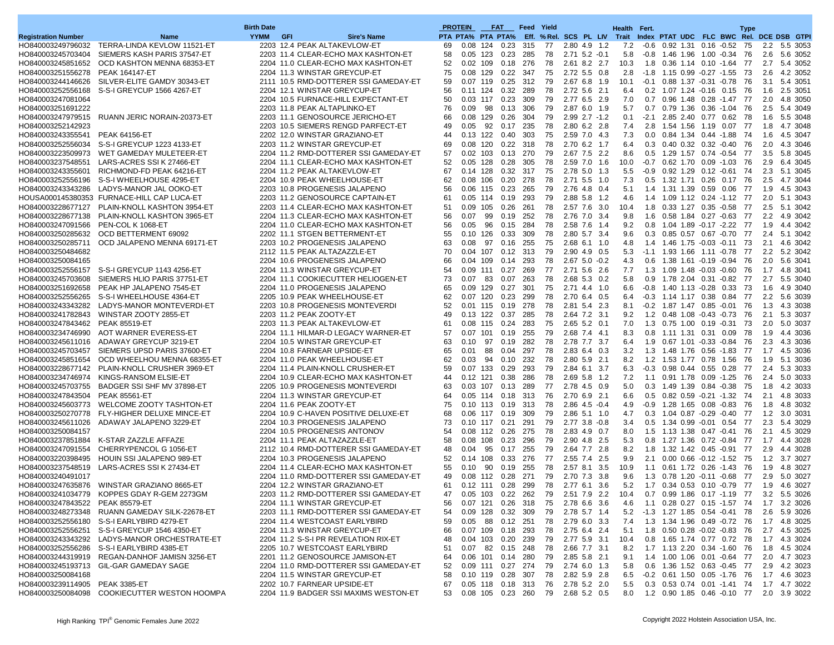|                                        |                                                | <b>Birth Date</b> |                                                                     | <b>PROTEIN</b> |              |           | <b>FAT</b>                   | <b>Feed Yield</b> |          |                                              |       |            | Health Fert. |                                                            |  | <b>Type</b> |            |                          |
|----------------------------------------|------------------------------------------------|-------------------|---------------------------------------------------------------------|----------------|--------------|-----------|------------------------------|-------------------|----------|----------------------------------------------|-------|------------|--------------|------------------------------------------------------------|--|-------------|------------|--------------------------|
| <b>Registration Number</b>             | Name                                           | <b>YYMM</b>       | <b>GFI</b><br><b>Sire's Name</b>                                    |                |              |           | PTA PTA% PTA PTA%            |                   |          | Eff. % Rel. SCS PL LIV Trait                 |       |            |              | Index PTAT UDC FLC BWC Rel. DCE DSB GTPI                   |  |             |            |                          |
| HO840003249796032                      | TERRA-LINDA KEVLOW 11521-ET                    |                   | 2203 12.4 PEAK ALTAKEVLOW-ET                                        | 69             | 0.08         | 124       | 0.23                         | 315               | 77       | 2.80 4.9 1.2                                 |       | 7.2        | -0.6         | 0.92 1.31 0.16 -0.52 75                                    |  |             |            | 2.2 5.5 3053             |
| HO840003245703404                      | SIEMERS KASH PARIS 37547-ET                    |                   | 2203 11.4 CLEAR-ECHO MAX KASHTON-ET                                 | 58             | 0.05         | 123       | 0.23                         | 285               | 78       | $2.71$ 5.2 $-0.1$                            |       | 5.8        |              | $-0.8$ 1.46 1.96 1.00 $-0.34$                              |  | -76         | 2.6        | 5.6 3052                 |
| HO840003245851652                      | OCD KASHTON MENNA 68353-ET                     |                   | 2204 11.0 CLEAR-ECHO MAX KASHTON-ET                                 | 52             | $0.02$ 109   |           | 0.18                         | 276               | 78       | 2.61 8.2 2.7                                 |       | 10.3       |              | 1.8 0.36 1.14 0.10 -1.64 77                                |  |             |            | 2.7 5.4 3052             |
| HO840003251556278                      | <b>PEAK 164147-ET</b>                          |                   | 2204 11.3 WINSTAR GREYCUP-ET                                        | 75             | 0.08         | 129       | 0.22                         | 347               | 75       | 2.72 5.5 0.8                                 |       | 2.8        |              | $-1.8$ 1.15 0.99 $-0.27$ $-1.55$ 73                        |  |             | 2.6        | 4.2 3052                 |
| HO840003244146626                      | SILVER-ELITE GAMDY 30343-ET                    |                   | 2111 10.5 RMD-DOTTERER SSI GAMEDAY-ET                               | 59             | $0.07$ 119   |           | 0.25                         | 312               | 79       | 2.67 6.8 1.9                                 |       | 10.1       |              | $-0.1$ 0.88 1.37 $-0.31$ $-0.78$ 76                        |  |             |            | 3.1 5.4 3051             |
| HO840003252556168                      | S-S-I GREYCUP 1566 4267-ET                     |                   | 2204 12.1 WINSTAR GREYCUP-ET                                        | 56             | 0.11         | 124       | 0.32                         | 289               | 78       | 2.72 5.6 2.1                                 |       | 6.4        |              | 0.2 1.07 1.24 -0.16 0.15 76                                |  |             |            | 1.6 2.5 3051             |
| HO840003247081064                      |                                                |                   | 2204 10.5 FURNACE-HILL EXPECTANT-ET                                 | 50             | $0.03$ 117   |           | 0.23                         | 309               | 79       | 2.77 6.5 2.9                                 |       | 7.0        |              | 0.7 0.96 1.48 0.28 -1.47 77                                |  |             | 2.0        | 4.8 3050                 |
| HO840003251691222                      |                                                |                   | 2203 11.8 PEAK ALTAPLINKO-ET                                        | 76             | 0.09         | 98        | 0.13                         | 306               | 79       | 2.87 6.0 1.9                                 |       | 5.7        |              | 0.7 0.79 1.36 0.36 -1.04                                   |  | - 76        | 2.5        | 5.4 3049                 |
| HO840003247979515                      | RUANN JERIC NORAIN-20373-ET                    |                   | 2203 11.1 GENOSOURCE JERICHO-ET                                     | 66<br>49       | 0.08<br>0.05 | 129<br>92 | 0.26<br>0.17                 | 304<br>235        | 79<br>78 | $2.99$ $2.7 -1.2$<br>2.80 6.2 2.8            |       | 0.1<br>7.4 |              | -2.1 2.85 2.40 0.77 0.62 78                                |  |             | 1.6<br>1.8 | 5.5 3048<br>4.7 3048     |
| HO840003252142923<br>HO840003243355541 | <b>PEAK 64156-ET</b>                           |                   | 2203 10.5 SIEMERS RENGD PARFECT-ET<br>2202 12.0 WINSTAR GRAZIANO-ET | 44             | 0.13         | 122       | 0.40                         | 303               | 75       | 2.59 7.0 4.3                                 |       | 7.3        | 0.0          | 2.8 1.54 1.56 1.19 0.07 77<br>0.84 1.34 0.44 -1.88 74      |  |             | 1.6        | 4.5 3047                 |
| HO840003252556034                      | S-S-I GREYCUP 1223 4133-ET                     |                   | 2203 11.2 WINSTAR GREYCUP-ET                                        | 69             | $0.08$ 120   |           | 0.22                         | 318               | 78       | 2.70 6.2 1.7                                 |       | 6.4        |              | 0.3 0.40 0.32 0.32 -0.40 76                                |  |             | 2.0        | 4.3 3046                 |
| HO840003223509973                      | WET GAMEDAY MULETEER-ET                        |                   | 2204 11.2 RMD-DOTTERER SSI GAMEDAY-ET                               | 57             | 0.02         | 103       | 0.13                         | 270               | 79       | 2.67 7.5 2.2                                 |       | 8.6        |              | 0.5 1.29 1.57 0.74 -0.54 77                                |  |             | 3.5        | 5.8 3045                 |
| HO840003237548551                      | LARS-ACRES SSI K 27466-ET                      |                   | 2204 11.1 CLEAR-ECHO MAX KASHTON-ET                                 | 52             | 0.05         | 128       | 0.28                         | 305               | 78       | 2.59 7.0 1.6                                 |       | 10.0       |              | $-0.7$ 0.62 1.70 0.09 -1.03 76                             |  |             | 2.9        | 6.4 3045                 |
| HO840003243355601                      | RICHMOND-FD PEAK 64216-ET                      |                   | 2204 11.2 PEAK ALTAKEVLOW-ET                                        | 67             | $0.14$ 128   |           | 0.32                         | 317               | 75       | 2.78 5.0 1.3                                 |       | 5.5        |              | $-0.9$ $0.92$ $1.29$ $0.12$ $-0.61$ 74                     |  |             |            | 2.3 5.1 3045             |
| HO840003252556196                      | S-S-I WHEELHOUSE 4295-ET                       |                   | 2204 10.9 PEAK WHEELHOUSE-ET                                        | 62             | 0.08         | 106       | 0.20                         | 278               | 78       | 2.71 5.5 1.0                                 |       | 7.3        |              | 0.5 1.32 1.71 0.26 0.17 76                                 |  |             | 2.5        | 4.7 3044                 |
| HO840003243343286                      | LADYS-MANOR JAL OOKO-ET                        |                   | 2203 10.8 PROGENESIS JALAPENO                                       | 56             | 0.06 115     |           | 0.23                         | 265               | 79       | 2.76 4.8 0.4                                 |       | 5.1        |              | 1.4 1.31 1.39 0.59 0.06 77                                 |  |             | 1.9        | 4.5 3043                 |
|                                        | HOUSA000145380353 FURNACE-HILL CAP LUCA-ET     |                   | 2203 11.2 GENOSOURCE CAPTAIN-ET                                     | 61             | 0.05         | 114       | 0.19                         | 293               | 79       | 2.88 5.8 1.2                                 |       | 4.6        |              | 1.4 1.09 1.12 0.24 -1.12 77                                |  |             | 2.0        | 5.1 3043                 |
| HO840003228677127                      | PLAIN-KNOLL KASHTON 3954-ET                    |                   | 2203 11.4 CLEAR-ECHO MAX KASHTON-ET                                 | 51             | 0.09         | 105       | 0.26                         | 261               | 78       | 2.57 7.6 3.0                                 |       | 10.4       |              | 1.8 0.33 1.27 0.35 0.58 77                                 |  |             |            | 2.5 5.1 3042             |
| HO840003228677138                      | PLAIN-KNOLL KASHTON 3965-ET                    |                   | 2204 11.3 CLEAR-ECHO MAX KASHTON-ET                                 | 56             | 0.07         | 99        | 0.19                         | 252               | 78       | 2.76 7.0 3.4                                 |       | 9.8        | 1.6          | 0.58 1.84 0.27 -0.63 77                                    |  |             |            | 2.2 4.9 3042             |
| HO840003247091566                      | PEN-COL K 1068-ET                              |                   | 2204 11.0 CLEAR-ECHO MAX KASHTON-ET                                 | 56             | 0.05         | 96        | 0.15                         | 284               | 78       | 2.58 7.6 1.4                                 |       | 9.2        |              | 0.8 1.04 1.89 -0.17 -2.22 77                               |  |             | 1.9        | 4.4 3042                 |
| HO840003250285632                      | OCD BETTERMENT 69092                           |                   | 2202 11.1 STGEN BETTERMENT-ET                                       | 55             | $0.10$ 126   |           | 0.33                         | 309               | 78       | 2.80 5.7 3.4                                 |       | 9.6        |              | 0.3 0.85 0.57 0.67 -0.70 77                                |  |             |            | 2.4 5.1 3042             |
| HO840003250285711                      | OCD JALAPENO MENNA 69171-ET                    |                   | 2203 10.2 PROGENESIS JALAPENO                                       | 63             | 0.08         | 97        | 0.16                         | 255               | 75       | 2.68 6.1 1.0                                 |       | 4.8        |              | 1.4 1.46 1.75 -0.03 -0.11 73                               |  |             | 2.1        | 4.6 3042                 |
| HO840003250484682                      |                                                |                   | 2112 11.5 PEAK ALTAZAZZLE-ET                                        | 70             | 0.04         | 107       | 0.12                         | 313               | 79       | 2.90 4.9 0.5                                 |       | 5.3        |              | $-1.1$ 1.93 1.66 1.11 $-0.78$ 77                           |  |             |            | 2.2 5.2 3042             |
| HO840003250084165                      |                                                |                   | 2204 10.6 PROGENESIS JALAPENO                                       | 66             | 0.04         | 109       | 0.14                         | 293               | 78       | $2.67$ 5.0 $-0.2$                            |       | 4.3        |              | 0.6 1.38 1.61 -0.19 -0.94                                  |  | 76          | 2.0        | 5.6 3041                 |
| HO840003252556157                      | S-S-I GREYCUP 1143 4256-ET                     |                   | 2204 11.3 WINSTAR GREYCUP-ET                                        | 54             | $0.09$ 111   |           | 0.27                         | 269               | 77       | 2.71 5.6 2.6                                 |       | 7.7        |              | 1.3 1.09 1.48 -0.03 -0.60 76                               |  |             |            | 1.7 4.8 3041             |
| HO840003245703608                      | SIEMERS HLIO PARIS 37751-ET                    |                   | 2204 11.1 COOKIECUTTER HELIOGEN-ET                                  | 73             | 0.07         | 83        | 0.07                         | 263               | 78       | 2.68 5.3 0.2                                 |       | 5.8        |              | 0.9 1.78 2.04 0.31 -0.82 77                                |  |             |            | 2.7 5.5 3040             |
| HO840003251692658                      | PEAK HP JALAPENO 7545-ET                       |                   | 2204 11.0 PROGENESIS JALAPENO                                       | 65             | 0.09         | 129       | 0.27                         | 301               | 75       | 2.71 4.4 1.0                                 |       | 6.6        |              | $-0.8$ 1.40 1.13 $-0.28$ 0.33 73                           |  |             | 1.6        | 4.9 3040                 |
| HO840003252556265                      | S-S-I WHEELHOUSE 4364-ET                       |                   | 2205 10.9 PEAK WHEELHOUSE-ET                                        | 62             | $0.07$ 120   |           | 0.23                         | 299               | 78       | 2.70 6.4 0.5                                 |       | 6.4        |              | -0.3 1.14 1.17 0.38 0.84 77                                |  |             |            | 2.2 5.6 3039             |
| HO840003243343282                      | LADYS-MANOR MONTEVERDI-ET                      |                   | 2203 10.8 PROGENESIS MONTEVERDI                                     | 52             | 0.01         | 115       | 0.19                         | 278               | 78       | 2.81 5.4 2.3                                 |       | 8.1        |              | $-0.2$ 1.87 1.47 0.85 $-0.01$ 76                           |  |             | 1.3        | 4.3 3038                 |
| HO840003241782843                      | WINSTAR ZOOTY 2855-ET                          |                   | 2203 11.2 PEAK ZOOTY-ET                                             | 49             | $0.13$ 122   |           | 0.37                         | 285               | 78       | 2.64 7.2 3.1                                 |       | 9.2        |              | 1.2 0.48 1.08 -0.43 -0.73 76                               |  |             | 2.1        | 5.3 3037                 |
| HO840003247843462                      | <b>PEAK 85519-ET</b>                           |                   | 2203 11.3 PEAK ALTAKEVLOW-ET                                        | 61             | 0.08         | 115       | 0.24                         | 283               | 75       | 2.65 5.2 0.1                                 |       | 7.0        |              | 1.3 0.75 1.00 0.19 -0.31 73                                |  |             | 2.0        | 5.0 3037                 |
| HO840003234746990                      | AOT WARNER EVERESS-ET                          |                   | 2204 11.1 HILMAR-D LEGACY WARNER-ET                                 | 57             | 0.07         | 101       | 0.19                         | 255               | 79       | 2.68 7.4 4.1                                 |       | 8.3        |              | 0.8 1.11 1.31 0.31 0.09                                    |  | - 78        | 1.9        | 4.4 3036                 |
| HO840003245611016                      | ADAWAY GREYCUP 3219-ET                         |                   | 2204 10.5 WINSTAR GREYCUP-ET                                        | 63             | 0.10         | 97        | 0.19                         | 282               | 78       | 2.78 7.7 3.7                                 |       | 6.4        |              | 1.9 0.67 1.01 -0.33 -0.84                                  |  | -76         |            | 2.3 4.3 3036             |
| HO840003245703457                      | SIEMERS UPSD PARIS 37600-ET                    |                   | 2204 10.8 FARNEAR UPSIDE-ET                                         | 65             | 0.01         | 88        | 0.04                         | 297               | 78       | 2.83 6.4 0.3                                 |       | 3.2        |              | 1.3 1.48 1.76 0.56 -1.83 77                                |  |             | 1.7        | 4.5 3036                 |
| HO840003245851654                      | OCD WHEELHOU MENNA 68355-ET                    |                   | 2204 11.0 PEAK WHEELHOUSE-ET                                        | 62             | 0.03         | 94        | 0.10                         | 232               | 78       | 2.80 5.9 2.1                                 |       | 8.2        |              | 1.2 1.53 1.77 0.78 1.56 76                                 |  |             |            | 1.9 5.1 3036             |
| HO840003228677142                      | PLAIN-KNOLL CRUSHER 3969-ET                    |                   | 2204 11.4 PLAIN-KNOLL CRUSHER-ET                                    | 59             | 0.07         | 133       | 0.29                         | 293               | 79       | 2.84 6.1 3.7                                 |       | 6.3        |              | -0.3 0.98 0.44 0.55 0.28 77                                |  |             |            | 2.4 5.3 3033             |
| HO840003234746974                      | KINGS-RANSOM ELSIE-ET                          |                   | 2204 10.9 CLEAR-ECHO MAX KASHTON-ET                                 | 44             | $0.12$ 121   |           | 0.38                         | 286               | 78       | 2.69 5.8 1.2                                 |       | 7.2        |              | 1.1 0.91 1.78 0.09 -1.25 76                                |  |             | 2.4        | 5.0 3033                 |
| HO840003245703755                      | BADGER SSI SHF MV 37898-ET                     |                   | 2205 10.9 PROGENESIS MONTEVERDI                                     | 63             | 0.03         | 107       | 0.13                         | 289               | 77       | 2.78 4.5 0.9                                 |       | 5.0        |              | 0.3 1.49 1.39 0.84 -0.38 75                                |  |             | 1.8        | 4.2 3033                 |
| HO840003247843504                      | <b>PEAK 85561-ET</b>                           |                   | 2204 11.3 WINSTAR GREYCUP-ET                                        | 64             |              |           | $0.05$ 114 $0.18$            | 313               | 76       | 2.70 6.9 2.1                                 |       | 6.6        |              | 0.5 0.82 0.59 -0.21 -1.32 74                               |  |             | 2.1        | 4.8 3033                 |
| HO840003245603773                      | WELCOME ZOOTY TASHTON-ET                       |                   | 2204 11.6 PEAK ZOOTY-ET                                             | 75             | $0.10$ 113   |           | 0.19                         | 313               | 78       | $2.86$ 4.5 $-0.4$                            |       | 4.9        |              | $-0.9$ 1.28 1.65 0.08 $-0.83$ 76                           |  |             | 1.8        | 4.8 3032                 |
| HO840003250270778                      | FLY-HIGHER DELUXE MINCE-ET                     |                   | 2204 10.9 C-HAVEN POSITIVE DELUXE-ET                                | 68             | 0.06         | 117       | 0.19                         | 309               | 79       | 2.86 5.1 1.0                                 |       | 4.7        |              | 0.3 1.04 0.87 -0.29 -0.40 77                               |  |             | 1.2        | 3.0 3031                 |
| HO840003245611026                      | ADAWAY JALAPENO 3229-ET                        |                   | 2204 10.3 PROGENESIS JALAPENO                                       | 73             |              |           | $0.10$ 117 $0.21$            | 291               | 79       | $2.77$ 3.8 $-0.8$                            |       | 3.4        |              | 0.5 1.34 0.99 -0.01 0.54 77                                |  |             |            | 2.3 5.4 3029             |
| HO840003250084157                      |                                                |                   | 2204 10.5 PROGENESIS ANTONOV<br>2204 11.1 PEAK ALTAZAZZLE-ET        | 54             | 0.08 112     | 108       | 0.26                         | 275               | 78       | 2.83 4.9 0.7                                 |       | 8.0        |              | 1.5 1.13 1.38 0.47 -0.41 76                                |  |             |            | 2.1 4.5 3029             |
| HO840003237851884<br>HO840003247091554 | K-STAR ZAZZLE AFFAZE<br>CHERRYPENCOL G 1056-ET |                   | 2112 10.4 RMD-DOTTERER SSI GAMEDAY-ET                               | 58<br>48       | 0.08<br>0.04 | 95        | 0.23<br>0.17                 | 296<br>255        | 79<br>79 | 2.90 4.8 2.5<br>2.64 7.7 2.8                 |       | 5.3<br>8.2 |              | 0.8 1.27 1.36 0.72 -0.84 77<br>1.8 1.32 1.42 0.45 -0.91 77 |  |             | 2.9        | 1.7 4.4 3028<br>4.4 3028 |
| HO840003220398495                      | HOUIN SSI JALAPENO 989-ET                      |                   | 2204 10.3 PROGENESIS JALAPENO                                       | 52             | 0.14         | 108       | 0.33                         | 276               | 77       | 2.55 7.4 2.5                                 |       | 9.9        | 2.1          | $0.00$ $0.66$ $-0.12$ $-1.52$ 75                           |  |             |            | 1.2 3.7 3027             |
| HO840003237548519                      | LARS-ACRES SSI K 27434-ET                      |                   | 2204 11.4 CLEAR-ECHO MAX KASHTON-ET                                 | 55             | 0.10         | 90        | 0.19                         | 255               | 78       | 2.57 8.1 3.5                                 |       | 10.9       |              | 1.1 0.61 1.72 0.26 -1.43 76                                |  |             | 1.9        | 4.8 3027                 |
| HO840003240491017                      |                                                |                   | 2204 11.0 RMD-DOTTERER SSI GAMEDAY-ET                               | 49             | 0.08 112     |           | 0.28                         | 271               | 79       | 2.70 7.3                                     | - 3.8 | 9.6        |              | 1.3 0.78 1.20 -0.11 -0.68                                  |  | 77          | 2.9        | 5.0 3027                 |
|                                        | HO840003247635876 WINSTAR GRAZIANO 8665-ET     |                   | 2204 12.2 WINSTAR GRAZIANO-ET                                       | 61             |              |           | 0.12 111 0.28                | 299               | 78       | 2.77 6.1 3.6                                 |       | 5.2        |              | 1.7 0.34 0.53 0.10 -0.79 77 1.9 4.6 3027                   |  |             |            |                          |
|                                        | HO840003241034779 KOPPES GDAY R-GEM 2273GM     |                   | 2203 11.2 RMD-DOTTERER SSI GAMEDAY-ET                               |                |              |           | 47  0.05  103  0.22  262  79 |                   |          | 2.51 7.9 2.2 10.4                            |       |            |              | 0.7 0.99 1.86 0.17 -1.19 77 3.2 5.5 3026                   |  |             |            |                          |
| HO840003247843522 PEAK 85579-ET        |                                                |                   | 2204 11.1 WINSTAR GREYCUP-ET                                        | 56             |              |           |                              |                   |          | 0.07 121 0.26 318 75 2.78 6.6 3.6            |       | 4.6        |              | 1.1 0.28 0.27 0.15 -1.57 74 1.7 3.2 3026                   |  |             |            |                          |
|                                        | HO840003248273348 RUANN GAMEDAY SILK-22678-ET  |                   | 2203 11.1 RMD-DOTTERER SSI GAMEDAY-ET                               | 54             |              |           | 0.09 128 0.32 309            |                   | 79       | 2.78 5.7 1.4                                 |       | 5.2        |              | -1.3 1.27 1.85 0.54 -0.41 78                               |  |             |            | 2.6 5.9 3026             |
| HO840003252556180                      | S-S-I EARLYBIRD 4279-ET                        |                   | 2204 11.4 WESTCOAST EARLYBIRD                                       | 59             | 0.05         |           | 88  0.12  251                |                   | 78       | 2.79 6.0 3.3                                 |       | 7.4        |              | 1.3 1.34 1.96 0.49 -0.72 76                                |  |             |            | 1.7 4.8 3025             |
| HO840003252556251                      | S-S-I GREYCUP 1546 4350-ET                     |                   | 2204 11.3 WINSTAR GREYCUP-ET                                        | 66             |              |           | 0.07 109 0.18 293            |                   | 78       | 2.75 6.4 2.4                                 |       | 5.1        |              | 1.8 0.50 0.28 -0.02 -0.83 76                               |  |             |            | 2.7 4.5 3025             |
| HO840003243343292                      | LADYS-MANOR ORCHESTRATE-ET                     |                   | 2204 11.2 S-S-I PR REVELATION RIX-ET                                | 48             |              |           | 0.04 103 0.20                | 239               | 79       | 2.77 5.9 3.1                                 |       | 10.4       |              | 0.8 1.65 1.74 0.77 0.72 78                                 |  |             |            | 1.7 4.3 3024             |
| HO840003252556286                      | S-S-I EARLYBIRD 4385-ET                        |                   | 2205 10.7 WESTCOAST EARLYBIRD                                       | 51             | 0.07         |           | 82 0.15 248                  |                   | 78       | 2.66 7.7 3.1                                 |       | 8.2        |              | 1.7 1.13 2.20 0.34 -1.60 76                                |  |             |            | 1.8 4.5 3024             |
| HO840003244319919                      | REGAN-DANHOF JAMISN 3256-ET                    |                   | 2201 11.2 GENOSOURCE JAMISON-ET                                     | 64             |              |           | 0.06 101 0.14 280            |                   | 79       | 2.85 5.8 2.1                                 |       | 9.1        |              | 1.4 1.00 1.06 0.01 -0.64 77                                |  |             |            | 2.0 4.7 3023             |
| HO840003245193713                      | GIL-GAR GAMEDAY SAGE                           |                   | 2204 11.0 RMD-DOTTERER SSI GAMEDAY-ET                               | 52             |              |           | 0.09 111 0.27 274            |                   | 79       | 2.74 6.0 1.3                                 |       | 5.8        |              | 0.6 1.36 1.52 0.63 -0.45 77                                |  |             |            | 2.9 4.2 3023             |
| HO840003250084168                      |                                                |                   | 2204 11.5 WINSTAR GREYCUP-ET                                        | 58             |              |           | 0.10 119 0.28 307            |                   | 78       | 2.82 5.9 2.8                                 |       | 6.5        |              | $-0.2$ 0.61 1.50 0.05 -1.76 76                             |  |             |            | 1.7 4.6 3023             |
| HO840003239114905 PEAK 3385-ET         |                                                |                   | 2202 10.7 FARNEAR UPSIDE-ET                                         | 67             |              |           | 0.05 118 0.18 313 76         |                   |          | 2.78 5.2 2.0                                 |       | 5.5        |              | 0.3 0.53 0.74 0.01 -1.41 74                                |  |             |            | 1.7 4.7 3022             |
|                                        | HO840003250084098 COOKIECUTTER WESTON HOOMPA   |                   | 2204 11.9 BADGER SSI MAXIMS WESTON-ET                               |                |              |           |                              |                   |          | 53  0.08  105  0.23  260  79  2.68  5.2  0.5 |       |            |              | 8.0 1.2 0.90 1.85 0.46 -0.10 77 2.0 3.9 3022               |  |             |            |                          |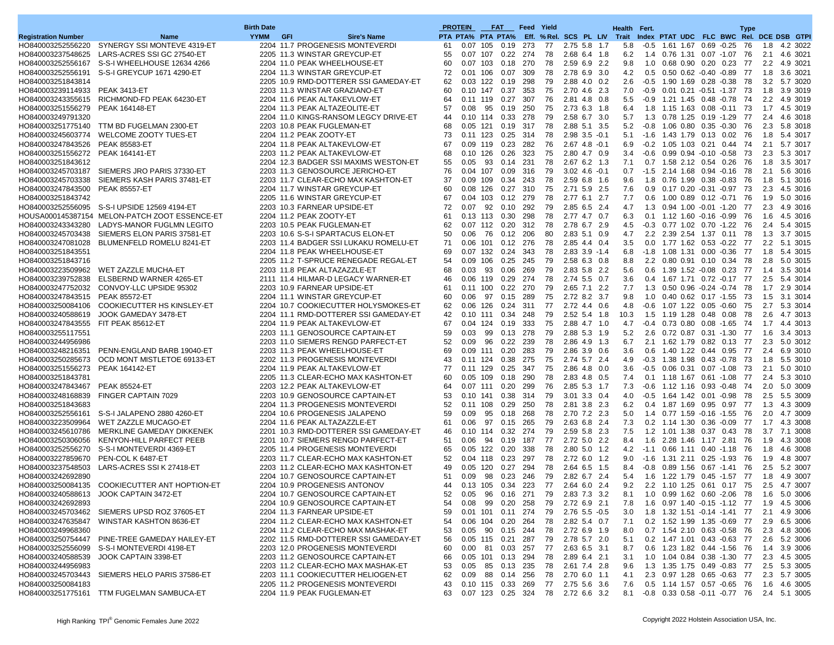|                                     |                                               | <b>Birth Date</b> |                                       |    | <b>PROTEIN</b>    |     | <b>FAT</b>        |     | <b>Feed Yield</b> |                                   | Health Fert. |      |                                                        |  | <b>Type</b> |     |              |
|-------------------------------------|-----------------------------------------------|-------------------|---------------------------------------|----|-------------------|-----|-------------------|-----|-------------------|-----------------------------------|--------------|------|--------------------------------------------------------|--|-------------|-----|--------------|
| <b>Registration Number</b>          | Name                                          | <b>YYMM</b>       | GFI<br><b>Sire's Name</b>             |    | PTA PTA% PTA PTA% |     |                   |     |                   | Eff. % Rel. SCS PL LIV Trait      |              |      | Index PTAT UDC FLC BWC Rel. DCE DSB GTPI               |  |             |     |              |
| HO840003252556220                   | SYNERGY SSI MONTEVE 4319-ET                   |                   | 2204 11.7 PROGENESIS MONTEVERDI       | 61 | 0.07 105          |     | 0.19              | 273 | 77                | 2.75 5.8 1.7                      | 5.8          |      | $-0.5$ 1.61 1.67 0.69 $-0.25$                          |  | 76          | 1.8 | 4.2 3022     |
| HO840003237548625                   | LARS-ACRES SSI GC 27540-ET                    |                   | 2205 11.3 WINSTAR GREYCUP-ET          | 55 | 0.07 107          |     | 0.22              | 274 | 78                | 2.68 6.4 1.8                      | 6.2          |      | 1.4 0.76 1.31 0.07 -1.07 76                            |  |             | 2.1 | 4.6 3021     |
| HO840003252556167                   | S-S-I WHEELHOUSE 12634 4266                   |                   | 2204 11.0 PEAK WHEELHOUSE-ET          | 60 | 0.07 103          |     | 0.18              | 270 | 78                | 2.59 6.9 2.2                      | 9.8          |      | 1.0 0.68 0.90 0.20 0.23 77                             |  |             |     | 2.2 4.9 3021 |
| HO840003252556191                   | S-S-I GREYCUP 1671 4290-ET                    |                   | 2204 11.3 WINSTAR GREYCUP-ET          | 72 | $0.01$ 106        |     | 0.07              | 309 | 78                | 2.78 6.9 3.0                      | 4.2          |      | 0.5 0.50 0.62 -0.40 -0.89 77                           |  |             | 1.8 | 3.6 3021     |
| HO840003251843814                   |                                               |                   | 2205 10.9 RMD-DOTTERER SSI GAMEDAY-ET | 62 | $0.03$ 122        |     | 0.19              | 298 | 79                | 2.88 4.0 0.2                      | 2.6          |      | $-0.5$ 1.90 1.69 0.28 $-0.38$ 78                       |  |             |     | 3.2 5.7 3020 |
| HO840003239114933 PEAK 3413-ET      |                                               |                   | 2203 11.3 WINSTAR GRAZIANO-ET         | 60 | $0.10$ 147        |     | 0.37              | 353 | 75                | 2.70 4.6 2.3                      | 7.0          |      | $-0.9$ 0.01 0.21 $-0.51$ $-1.37$ 73                    |  |             |     | 1.8 3.9 3019 |
|                                     | HO840003243355615 RICHMOND-FD PEAK 64230-ET   |                   | 2204 11.6 PEAK ALTAKEVLOW-ET          | 64 | 0.11 119          |     | 0.27              | 307 | 76                | 2.81 4.8 0.8                      | 5.5          | -0.9 | 1.21 1.45 0.48 -0.78 74                                |  |             |     | 2.2 4.9 3019 |
| HO840003251556279                   | <b>PEAK 164148-ET</b>                         |                   | 2204 11.3 PEAK ALTAZEOLITE-ET         | 57 | 0.08              | 95  | 0.19              | 250 | 75                | 2.73 6.3 1.8                      | 6.4          |      | 1.8 1.15 1.63 0.08 -0.11 73                            |  |             | 1.7 | 4.5 3019     |
| HO840003249791320                   |                                               |                   | 2204 11.0 KINGS-RANSOM LEGCY DRIVE-ET | 44 | $0.10$ 114        |     | 0.33              | 278 | 79                | 2.58 6.7 3.0                      | 5.7          |      | 1.3 0.78 1.25 0.19 -1.29 77                            |  |             |     | 2.4 4.6 3018 |
|                                     | HO840003251775140 TTM BD FUGELMAN 2300-ET     |                   | 2203 10.8 PEAK FUGLEMAN-ET            | 68 | $0.05$ 121        |     | 0.19              | 317 | 78                | 2.88 5.1 3.5                      | 5.2          |      | -0.8 1.06 0.80 0.35 -0.30 76                           |  |             |     | 2.3 5.8 3018 |
| HO840003245603774                   | WELCOME ZOOTY TUES-ET                         |                   | 2204 11.2 PEAK ZOOTY-ET               | 73 | $0.11$ 123        |     | 0.25              | 314 | 78                | $2.98$ 3.5 $-0.1$                 | 5.1          |      | -1.6 1.43 1.79 0.13 0.02 76                            |  |             | 1.8 | 5.4 3017     |
| HO840003247843526                   | <b>PEAK 85583-ET</b>                          |                   | 2204 11.8 PEAK ALTAKEVLOW-ET          | 67 |                   |     | 0.09 119 0.23     | 282 | 76                | $2.67$ 4.8 $-0.1$                 | 6.9          |      | -0.2 1.05 1.03 0.21 0.44 74                            |  |             |     | 2.1 5.7 3017 |
| HO840003251556272                   | PEAK 164141-ET                                |                   | 2203 11.2 PEAK ALTAKEVLOW-ET          | 68 | $0.10$ 126        |     | 0.26              | 323 | 75                | 2.80 4.7 0.9                      | 3.4          |      | $-0.6$ $0.99$ $0.94$ $-0.10$ $-0.58$ 73                |  |             |     | 2.3 5.3 3017 |
| HO840003251843612                   |                                               |                   | 2204 12.3 BADGER SSI MAXIMS WESTON-ET | 55 | 0.05              | 93  | 0.14              | 231 | 78                | 2.67 6.2 1.3                      | 7.1          |      | 0.7 1.58 2.12 0.54 0.26 76                             |  |             | 1.8 | 3.5 3017     |
| HO840003245703187                   | SIEMERS JRO PARIS 37330-ET                    |                   | 2203 11.3 GENOSOURCE JERICHO-ET       | 76 | 0.04 107          |     | 0.09              | 316 | 79                | $3.02$ 4.6 $-0.1$                 | 0.7          |      | -1.5 2.14 1.68 0.94 -0.16 78                           |  |             | 2.1 | 5.6 3016     |
| HO840003245703338                   | SIEMERS KASH PARIS 37481-ET                   |                   | 2203 11.7 CLEAR-ECHO MAX KASHTON-ET   | 37 | 0.09 109          |     | 0.34              | 243 | 78                | 2.59 6.8 1.6                      | 9.6          |      | 1.8 0.76 1.99 0.38 -0.83 76                            |  |             | 1.8 | 5.1 3016     |
| HO840003247843500                   | <b>PEAK 85557-ET</b>                          |                   | 2204 11.7 WINSTAR GREYCUP-ET          | 60 | 0.08 126          |     | 0.27              | 310 | 75                | 2.71 5.9 2.5                      | 7.6          |      | 0.9 0.17 0.20 -0.31 -0.97 73                           |  |             | 2.3 | 4.5 3016     |
| HO840003251843742                   |                                               |                   | 2205 11.6 WINSTAR GREYCUP-ET          | 67 | 0.04 103          |     | 0.12              | 279 | 78                | 2.77 6.1 2.7                      | 7.7          |      | 0.6 1.00 0.89 0.12 -0.71 76                            |  |             | 1.9 | 5.0 3016     |
|                                     | HO840003252556095 S-S-I UPSIDE 12569 4194-ET  |                   | 2203 10.3 FARNEAR UPSIDE-ET           | 72 | 0.07              | 92  | 0.10              | 292 | 79                | 2.85 6.5 2.4                      | 4.7          |      | 1.3 0.94 1.00 -0.01 -1.20 77                           |  |             |     | 2.3 4.9 3016 |
|                                     | HOUSA000145387154 MELON-PATCH ZOOT ESSENCE-ET |                   | 2204 11.2 PEAK ZOOTY-ET               | 61 | $0.13$ 113        |     | 0.30              | 298 | 78                | 2.77 4.7 0.7                      | 6.3          |      | 0.1 1.12 1.60 -0.16 -0.99 76                           |  |             |     | 1.6 4.5 3016 |
| HO840003243343280                   | LADYS-MANOR FUGLMN LEGITO                     |                   | 2203 10.5 PEAK FUGLEMAN-ET            | 62 | 0.07 112          |     | 0.20              | 312 | 78                | 2.78 6.7 2.9                      | 4.5          |      | $-0.3$ 0.77 1.02 0.70 -1.22 76                         |  |             | 2.4 | 5.4 3015     |
|                                     | HO840003245703438 SIEMERS ELON PARIS 37581-ET |                   | 2203 10.6 S-S-I SPARTACUS ELON-ET     | 50 | 0.06              | 76  | 0.12              | 206 | 80                | 2.83 5.1 0.9                      | 4.7          |      | 2.2 2.39 2.54 1.37 0.11 78                             |  |             |     | 1.3 3.7 3015 |
|                                     | HO840003247081028 BLUMENFELD ROMELU 8241-ET   |                   | 2203 11.4 BADGER SSI LUKAKU ROMELU-ET | 71 | 0.06 101          |     | 0.12              | 276 | 78                | 2.85 4.4 0.4                      | 3.5          |      | 0.0 1.77 1.62 0.53 -0.22 77                            |  |             | 2.2 | 5.1 3015     |
| HO840003251843551                   |                                               |                   | 2204 11.8 PEAK WHEELHOUSE-ET          | 69 | $0.07$ 132        |     | 0.24              | 343 | 78                | $2.83$ 3.9 $-1.4$                 | 6.8          |      | $-1.8$ 1.08 1.31 0.00 $-0.36$ 77                       |  |             |     | 1.8 5.4 3015 |
| HO840003251843716                   |                                               |                   | 2205 11.2 T-SPRUCE RENEGADE REGAL-ET  | 54 | 0.09              | 106 | 0.25              | 245 | 79                | 2.58 6.3 0.8                      | 8.8          |      | 2.2 0.80 0.91 0.10 0.34 78                             |  |             | 2.8 | 5.0 3015     |
|                                     | HO840003223509962 WET ZAZZLE MUCHA-ET         |                   | 2203 11.8 PEAK ALTAZAZZLE-ET          | 68 | 0.03              | 93  | 0.06              | 269 | 79                | 2.83 5.8 2.2                      | 5.6          |      | 0.6 1.39 1.52 -0.08 0.23 77                            |  |             |     | 1.4 3.5 3014 |
| HO840003239752838                   | ELSBERND WARNER 4265-ET                       |                   | 2111 11.4 HILMAR-D LEGACY WARNER-ET   | 46 | 0.06 119          |     | 0.29              | 274 | 78                | 2.74 5.5 0.7                      | 3.6          |      | 0.4 1.67 1.71 0.72 -0.17 77                            |  |             | 2.5 | 5.4 3014     |
| HO840003247752032                   | CONVOY-LLC UPSIDE 95302                       |                   | 2203 10.9 FARNEAR UPSIDE-ET           | 61 | $0.11$ 100        |     | 0.22              | 270 | 79                | 2.65 7.1 2.2                      | 7.7          |      | 1.3 0.50 0.96 -0.24 -0.74 78                           |  |             | 1.7 | 2.9 3014     |
| HO840003247843515 PEAK 85572-ET     |                                               |                   | 2204 11.1 WINSTAR GREYCUP-ET          | 60 | 0.06              | 97  | 0.15              | 289 | 75                | 2.72 8.2 3.7                      | 9.8          |      | 1.0 0.40 0.62 0.17 -1.55 73                            |  |             |     | 1.5 3.1 3014 |
| HO840003250084106                   | COOKIECUTTER HS KINSLEY-ET                    |                   | 2204 10.7 COOKIECUTTER HOLYSMOKES-ET  | 62 | 0.06              | 126 | 0.24              | 311 | 77                | 2.72 4.4 0.6                      | 4.8          |      | $-0.6$ 1.07 1.22 0.05 $-0.60$ 75                       |  |             | 2.7 | 5.3 3014     |
| HO840003240588619                   | JOOK GAMEDAY 3478-ET                          |                   | 2204 11.1 RMD-DOTTERER SSI GAMEDAY-ET | 42 | $0.10$ 111        |     | 0.34              | 248 | 79                | 2.52 5.4 1.8                      | 10.3         |      | 1.5 1.19 1.28 0.48 0.08 78                             |  |             |     | 2.6 4.7 3013 |
| HO840003247843555 FIT PEAK 85612-ET |                                               |                   | 2204 11.9 PEAK ALTAKEVLOW-ET          | 67 | 0.04 124          |     | 0.19              | 333 | 75                | 2.88 4.7 1.0                      | 4.7          |      | $-0.4$ 0.73 0.80 0.08 -1.65 74                         |  |             | 1.7 | 4.4 3013     |
| HO840003255117551                   |                                               |                   | 2203 11.1 GENOSOURCE CAPTAIN-ET       | 59 | 0.03              | 99  | 0.13              | 278 | 79                | 2.88 5.3 1.9                      | 5.2          |      | 2.6 0.72 0.87 0.31 -1.30 77                            |  |             |     | 1.6 3.4 3013 |
| HO840003244956986                   |                                               |                   | 2203 11.0 SIEMERS RENGD PARFECT-ET    | 52 | 0.09              | 96  | 0.22              | 239 | 78                | 2.86 4.9 1.3                      | 6.7          |      | 2.1 1.62 1.79 0.82 0.13 77                             |  |             |     | 2.3 5.0 3012 |
| HO840003248216351                   | PENN-ENGLAND BARB 19040-ET                    |                   | 2203 11.3 PEAK WHEELHOUSE-ET          | 69 | $0.09$ 111        |     | 0.20              | 283 | 79                | 2.86 3.9 0.6                      | 3.6          | 0.6  | 1.40 1.22 0.44 0.95 77                                 |  |             | 2.4 | 6.9 3010     |
| HO840003250285673                   | OCD MONT MISTLETOE 69133-ET                   |                   | 2202 11.3 PROGENESIS MONTEVERDI       | 43 | $0.11$ 124        |     | 0.38              | 275 | 75                | 2.74 5.7 2.4                      | 4.9          |      | $-0.3$ 1.38 1.98 0.43 $-0.78$ 73                       |  |             |     | 1.8 5.5 3010 |
| HO840003251556273                   | <b>PEAK 164142-ET</b>                         |                   | 2204 11.9 PEAK ALTAKEVLOW-ET          | 77 | $0.11$ 129        |     | 0.25              | 347 | 75                | 2.86 4.8 0.0                      | 3.6          |      | $-0.5$ 0.06 0.31 0.07 $-1.08$ 73                       |  |             | 2.1 | 5.0 3010     |
| HO840003251843781                   |                                               |                   | 2205 11.3 CLEAR-ECHO MAX KASHTON-ET   | 60 | 0.05 109          |     | 0.18              | 290 | 78                | 2.83 4.8 0.5                      | 7.4          |      | 0.1 1.18 1.67 0.61 -1.08 77                            |  |             |     | 2.4 5.3 3010 |
| HO840003247843467                   | <b>PEAK 85524-ET</b>                          |                   | 2203 12.2 PEAK ALTAKEVLOW-ET          | 64 | $0.07$ 111        |     | 0.20              | 299 | 76                | 2.85 5.3 1.7                      | 7.3          |      | $-0.6$ 1.12 1.16 0.93 $-0.48$ 74                       |  |             | 2.0 | 5.0 3009     |
| HO840003248168839                   | FINGER CAPTAIN 7029                           |                   | 2203 10.9 GENOSOURCE CAPTAIN-ET       | 53 | $0.10$ 141        |     | 0.38              | 314 | 79                | 3.01 3.3 0.4                      | 4.0          |      | $-0.5$ 1.64 1.42 0.01 $-0.98$ 78                       |  |             | 2.5 | 5.5 3009     |
| HO840003251843683                   |                                               |                   | 2204 11.3 PROGENESIS MONTEVERDI       | 52 | $0.11$ 108        |     | 0.29              | 250 | 78                | 2.81 3.8 2.3                      | 6.2          |      | 0.4 1.87 1.69 0.95 0.97 77                             |  |             |     | 1.3 4.3 3009 |
| HO840003252556161                   | S-S-I JALAPENO 2880 4260-ET                   |                   | 2204 10.6 PROGENESIS JALAPENO         | 59 | 0.09              | 95  | 0.18              | 268 | 78                | 2.70 7.2 2.3                      | 5.0          |      | 1.4 0.77 1.59 0.16 -1.55 76                            |  |             | 2.0 | 4.7 3009     |
| HO840003223509964                   | WET ZAZZLE MUCAGO-ET                          |                   | 2204 11.6 PEAK ALTAZAZZLE-ET          | 61 | 0.06              | 97  | 0.15              | 265 | 79                | 2.63 6.8 2.4                      | 7.3          |      | 0.2 1.14 1.30 0.36 -0.09 77                            |  |             |     | 1.7 4.3 3008 |
| HO840003245610786                   | MERKLINE GAMEDAY DIKKENEK                     |                   | 2201 10.3 RMD-DOTTERER SSI GAMEDAY-ET | 46 | $0.10$ 114        |     | 0.32              | 274 | 79                | 2.59 5.8 2.3                      | 7.5          |      | 1.2 1.01 1.38 0.37 0.43 78                             |  |             |     | 3.7 7.1 3008 |
| HO840003250306056                   | KENYON-HILL PARFECT PEEB                      |                   | 2201 10.7 SIEMERS RENGD PARFECT-ET    | 51 | 0.06              | 94  | 0.19              | 187 | 77                | 2.72 5.0 2.2                      | 8.4          |      | 1.6 2.28 1.46 1.17 2.81 76                             |  |             | 1.9 | 4.3 3008     |
| HO840003252556270                   | S-S-I MONTEVERDI 4369-ET                      |                   | 2205 11.4 PROGENESIS MONTEVERDI       | 65 | $0.05$ 122        |     | 0.20              | 338 | 78                | 2.80 5.0 1.2                      | 4.2          |      | $-1.1$ 0.66 1.11 0.40 -1.18 76                         |  |             | 1.8 | 4.6 3008     |
| HO840003227859670                   | PEN-COL K 6487-ET                             |                   | 2203 11.7 CLEAR-ECHO MAX KASHTON-ET   | 52 | $0.04$ 118        |     | 0.23              | 297 | 78                | 2.72 6.0 1.2                      | 9.0          |      | -1.6 1.31 2.11 0.25 -1.93 76                           |  |             | 1.9 | 4.8 3007     |
|                                     | HO840003237548503 LARS-ACRES SSI K 27418-ET   |                   | 2203 11.2 CLEAR-ECHO MAX KASHTON-ET   | 49 | $0.05$ 120        |     | 0.27              | 294 | 78                | 2.64 6.5 1.5                      | 8.4          |      | -0.8  0.89  1.56  0.67  -1.41  76                      |  |             |     | 2.5 5.2 3007 |
| HO840003242692890                   |                                               |                   | 2204 10.7 GENOSOURCE CAPTAIN-ET       | 51 | 0.09              | 98  | 0.23              | 246 | 79                | 2.82 6.7 2.4                      | 5.4          |      | 1.6 1.22 1.79 0.45 -1.57 77                            |  |             | 1.8 | 4.9 3007     |
|                                     | HO840003250084135 COOKIECUTTER ANT HOPTION-ET |                   | 2204 10.9 PROGENESIS ANTONOV          | 44 |                   |     | 0.13 105 0.34 223 |     | 77                | 2.64 6.0 2.4                      | 9.2          |      | 2.2 1.10 1.25 0.61 0.17 75                             |  |             |     | 2.5 4.7 3007 |
|                                     | HO840003240588613 JOOK CAPTAIN 3472-ET        |                   | 2204 10.7 GENOSOURCE CAPTAIN-ET       | 52 | 0.05              |     |                   |     |                   | 96  0.16  271  79  2.83  7.3  3.2 |              |      | 8.1  1.0  0.99  1.62  0.60  - 2.06  78  1.6  5.0  3006 |  |             |     |              |
| HO840003242692893                   |                                               |                   | 2204 10.9 GENOSOURCE CAPTAIN-ET       | 54 |                   |     |                   |     |                   | 0.08 99 0.20 258 79 2.72 6.9 2.1  | 7.8          |      | 1.6 0.97 1.40 -0.15 -1.12 77 1.9 4.5 3006              |  |             |     |              |
|                                     | HO840003245703462 SIEMERS UPSD ROZ 37605-ET   |                   | 2204 11.3 FARNEAR UPSIDE-ET           | 59 |                   |     | 0.01 101 0.11 274 |     | 79                | 2.76 5.5 -0.5                     | 3.0          |      |                                                        |  |             |     | 2.1 4.9 3006 |
|                                     | HO840003247635847 WINSTAR KASHTON 8636-ET     |                   | 2204 11.2 CLEAR-ECHO MAX KASHTON-ET   | 54 |                   |     | 0.06 104 0.20 264 |     | 78                | 2.82 5.4 0.7                      | 7.1          |      | 0.2 1.52 1.99 1.35 -0.69 77                            |  |             |     | 2.9 6.5 3006 |
| HO840003249968360                   |                                               |                   | 2204 11.2 CLEAR-ECHO MAX MASHAK-ET    | 53 |                   |     | 0.05 90 0.15 244  |     | 78                | 2.72 6.9 1.9                      | 8.0          |      | 0.7 1.54 2.10 0.63 0.58 76                             |  |             |     | 2.3 4.8 3006 |
|                                     | HO840003250754447 PINE-TREE GAMEDAY HAILEY-ET |                   | 2202 11.5 RMD-DOTTERER SSI GAMEDAY-ET | 56 |                   |     | 0.05 115 0.21 287 |     | 79                | 2.78 5.7 2.0                      | 5.1          |      | 0.2 1.47 1.01 0.43 -0.63 77                            |  |             |     | 2.6 5.2 3006 |
|                                     | HO840003252556099 S-S-I MONTEVERDI 4198-ET    |                   | 2203 12.0 PROGENESIS MONTEVERDI       | 60 |                   |     | 0.00 81 0.03 257  |     | 77                | 2.63 6.5 3.1                      | 8.7          |      | 0.6 1.23 1.82 0.44 -1.56 76                            |  |             |     | 1.4 3.9 3006 |
| HO840003240588539                   | JOOK CAPTAIN 3398-ET                          |                   | 2203 11.2 GENOSOURCE CAPTAIN-ET       | 66 |                   |     | 0.05 101 0.13 294 |     | 78                | 2.89 6.4 2.1                      | 3.1          |      | 1.0 1.04 0.84 0.38 1.30 77                             |  |             |     | 2.3 4.5 3005 |
| HO840003244956983                   |                                               |                   | 2203 11.2 CLEAR-ECHO MAX MASHAK-ET    | 53 |                   |     | 0.05 85 0.13 235  |     | 78                | 2.61 7.4 2.8                      | 9.6          |      | 1.3 1.35 1.75 0.49 0.83 77                             |  |             |     | 2.5 5.3 3005 |
|                                     | HO840003245703443 SIEMERS HELO PARIS 37586-ET |                   | 2203 11.1 COOKIECUTTER HELIOGEN-ET    | 62 |                   |     | 0.09 88 0.14 256  |     | 78                | 2.70 6.0 1.1                      | 4.1          |      | 2.3 0.97 1.28 0.65 -0.63 77 2.3 5.7 3005               |  |             |     |              |
| HO840003250084183                   |                                               |                   | 2205 11.2 PROGENESIS MONTEVERDI       | 43 |                   |     | 0.10 115 0.33 269 |     | 77                | 2.75 5.6 3.6                      | 7.6          |      | 0.5 1.14 1.57 0.57 0.65 76                             |  |             |     | 1.6 4.6 3005 |
|                                     | HO840003251775161 TTM FUGELMAN SAMBUCA-ET     |                   | 2204 11.9 PEAK FUGLEMAN-ET            | 63 |                   |     |                   |     |                   | 0.07 123 0.25 324 78 2.72 6.6 3.2 |              |      | 8.1 -0.8 0.33 0.58 -0.11 -0.77 76 2.4 5.1 3005         |  |             |     |              |